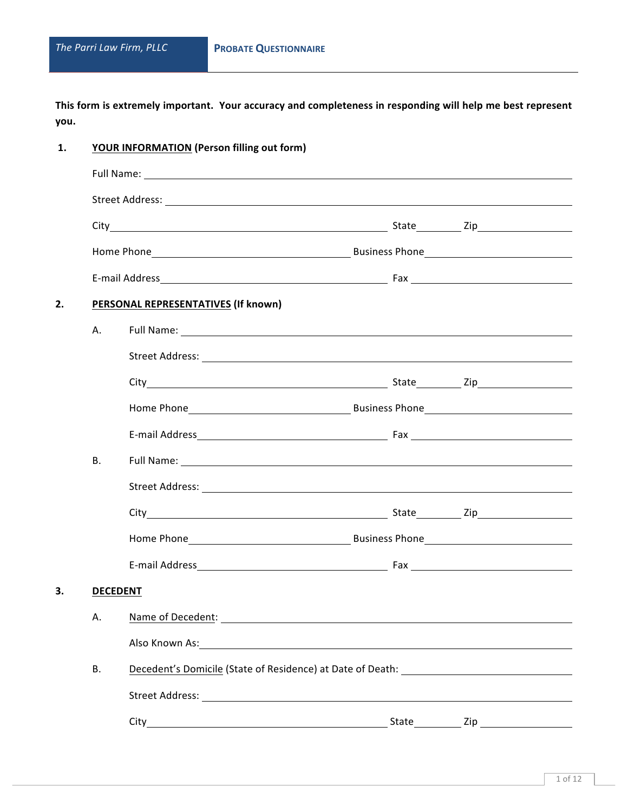This form is extremely important. Your accuracy and completeness in responding will help me best represent **you.** 

| 1. |                 | YOUR INFORMATION (Person filling out form)                                        |  |  |
|----|-----------------|-----------------------------------------------------------------------------------|--|--|
|    |                 |                                                                                   |  |  |
|    |                 |                                                                                   |  |  |
|    |                 |                                                                                   |  |  |
|    |                 |                                                                                   |  |  |
|    |                 |                                                                                   |  |  |
| 2. |                 | PERSONAL REPRESENTATIVES (If known)                                               |  |  |
|    | Α.              |                                                                                   |  |  |
|    |                 |                                                                                   |  |  |
|    |                 |                                                                                   |  |  |
|    |                 |                                                                                   |  |  |
|    |                 |                                                                                   |  |  |
|    | <b>B.</b>       |                                                                                   |  |  |
|    |                 |                                                                                   |  |  |
|    |                 |                                                                                   |  |  |
|    |                 |                                                                                   |  |  |
|    |                 |                                                                                   |  |  |
| 3. | <b>DECEDENT</b> |                                                                                   |  |  |
|    | А.              |                                                                                   |  |  |
|    |                 |                                                                                   |  |  |
|    | <b>B.</b>       | Decedent's Domicile (State of Residence) at Date of Death: ______________________ |  |  |
|    |                 |                                                                                   |  |  |
|    |                 |                                                                                   |  |  |
|    |                 |                                                                                   |  |  |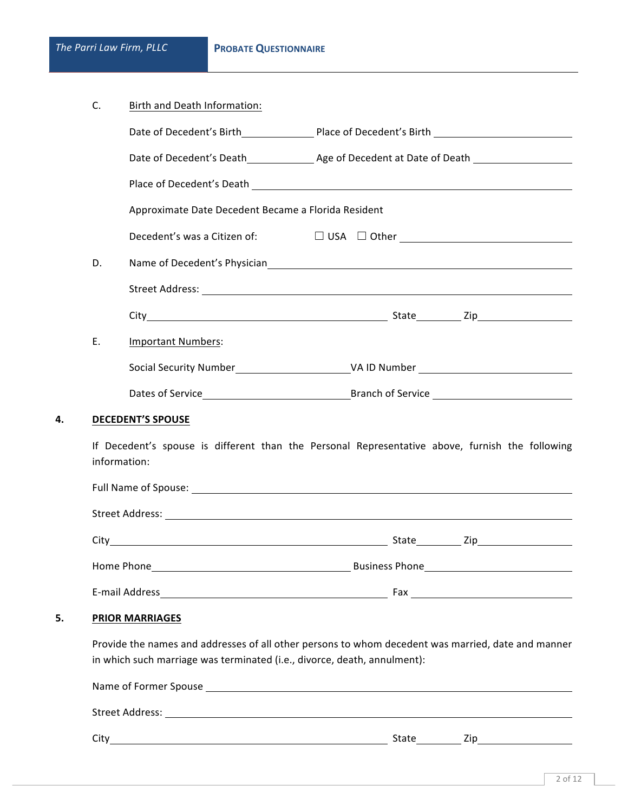|--|

|    |                                                                          | Place of Decedent's Death Lawrence and Contract and Contract and Contract and Contract and Contract and Contract and                                                                                                           |
|----|--------------------------------------------------------------------------|--------------------------------------------------------------------------------------------------------------------------------------------------------------------------------------------------------------------------------|
|    | Approximate Date Decedent Became a Florida Resident                      |                                                                                                                                                                                                                                |
|    |                                                                          |                                                                                                                                                                                                                                |
| D. |                                                                          |                                                                                                                                                                                                                                |
|    |                                                                          |                                                                                                                                                                                                                                |
|    |                                                                          |                                                                                                                                                                                                                                |
| E. | <b>Important Numbers:</b>                                                |                                                                                                                                                                                                                                |
|    |                                                                          |                                                                                                                                                                                                                                |
|    |                                                                          | Dates of Service <b>Example 28 Islams</b> Branch of Service <b>Branch</b> Service <b>Branch</b> Service                                                                                                                        |
|    | <b>DECEDENT'S SPOUSE</b>                                                 | If Decedent's spouse is different than the Personal Representative above, furnish the following                                                                                                                                |
|    | information:                                                             | Full Name of Spouse: with the control of the control of the control of the control of the control of the control of the control of the control of the control of the control of the control of the control of the control of t |
|    |                                                                          |                                                                                                                                                                                                                                |
|    |                                                                          |                                                                                                                                                                                                                                |
|    |                                                                          | Home Phone <b>Example 2018</b> 2019 2019 2021 2022 2023 2024 2022 2023 2024 2022 2023 2024 2022 2023 2024 2022 2023 20                                                                                                         |
|    |                                                                          |                                                                                                                                                                                                                                |
|    | <b>PRIOR MARRIAGES</b>                                                   |                                                                                                                                                                                                                                |
|    | in which such marriage was terminated (i.e., divorce, death, annulment): | Provide the names and addresses of all other persons to whom decedent was married, date and manner                                                                                                                             |
|    |                                                                          |                                                                                                                                                                                                                                |
|    |                                                                          |                                                                                                                                                                                                                                |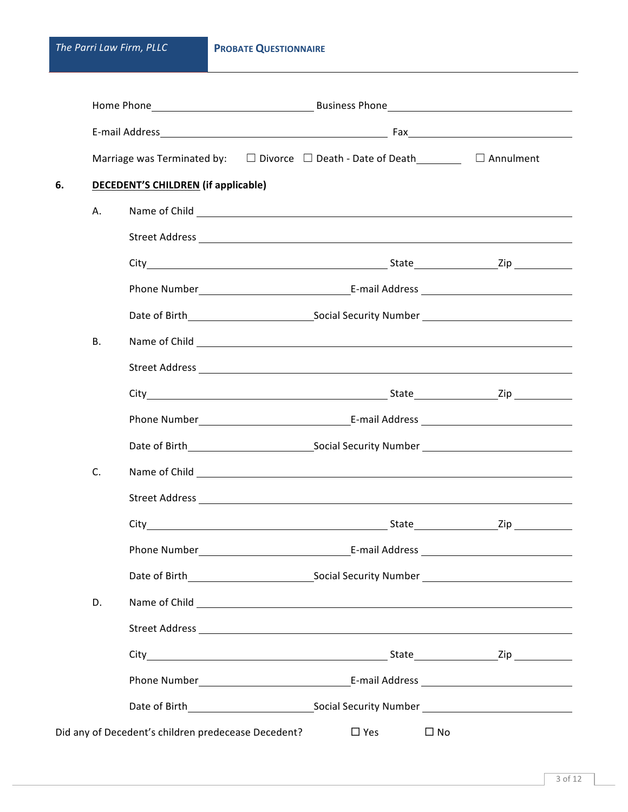|           |                                                     | Marriage was Terminated by: $\square$ Divorce $\square$ Death - Date of Death $\square$ Annulment        |  |
|-----------|-----------------------------------------------------|----------------------------------------------------------------------------------------------------------|--|
| 6.        | <b>DECEDENT'S CHILDREN (if applicable)</b>          |                                                                                                          |  |
| А.        |                                                     | Name of Child <u>Communications</u> and Child                                                            |  |
|           |                                                     |                                                                                                          |  |
|           |                                                     |                                                                                                          |  |
|           |                                                     |                                                                                                          |  |
|           |                                                     |                                                                                                          |  |
| <b>B.</b> |                                                     | Name of Child <u>Communication</u>                                                                       |  |
|           |                                                     |                                                                                                          |  |
|           |                                                     |                                                                                                          |  |
|           |                                                     |                                                                                                          |  |
|           |                                                     |                                                                                                          |  |
| C.        |                                                     | Name of Child <b>Child Commission Child Commission Commission Commission Child Commission Commission</b> |  |
|           |                                                     |                                                                                                          |  |
|           |                                                     |                                                                                                          |  |
|           |                                                     |                                                                                                          |  |
|           |                                                     |                                                                                                          |  |
| D.        |                                                     |                                                                                                          |  |
|           |                                                     |                                                                                                          |  |
|           |                                                     |                                                                                                          |  |
|           |                                                     |                                                                                                          |  |
|           |                                                     |                                                                                                          |  |
|           | Did any of Decedent's children predecease Decedent? | $\Box$ Yes<br>$\square$ No                                                                               |  |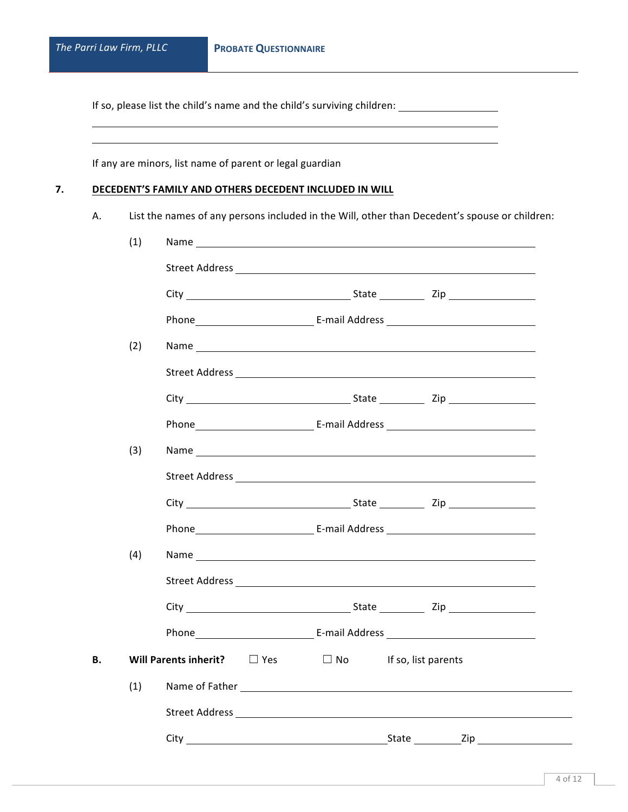If so, please list the child's name and the child's surviving children: 

If any are minors, list name of parent or legal guardian

## **7. DECEDENT'S FAMILY AND OTHERS DECEDENT INCLUDED IN WILL**

A. List the names of any persons included in the Will, other than Decedent's spouse or children:

|    | (1) |                                                                                                                                                                                                                                |                                  |  |
|----|-----|--------------------------------------------------------------------------------------------------------------------------------------------------------------------------------------------------------------------------------|----------------------------------|--|
|    |     |                                                                                                                                                                                                                                |                                  |  |
|    |     |                                                                                                                                                                                                                                |                                  |  |
|    |     |                                                                                                                                                                                                                                |                                  |  |
|    | (2) |                                                                                                                                                                                                                                |                                  |  |
|    |     |                                                                                                                                                                                                                                |                                  |  |
|    |     |                                                                                                                                                                                                                                |                                  |  |
|    |     |                                                                                                                                                                                                                                |                                  |  |
|    | (3) |                                                                                                                                                                                                                                |                                  |  |
|    |     |                                                                                                                                                                                                                                |                                  |  |
|    |     |                                                                                                                                                                                                                                |                                  |  |
|    |     |                                                                                                                                                                                                                                |                                  |  |
|    | (4) | Name and the state of the state of the state of the state of the state of the state of the state of the state of the state of the state of the state of the state of the state of the state of the state of the state of the s |                                  |  |
|    |     |                                                                                                                                                                                                                                |                                  |  |
|    |     |                                                                                                                                                                                                                                |                                  |  |
|    |     |                                                                                                                                                                                                                                |                                  |  |
| В. |     | Will Parents inherit? $\square$ Yes                                                                                                                                                                                            | $\Box$ No<br>If so, list parents |  |
|    | (1) | Name of Father Law and Contract and Contract and Contract and Contract and Contract and Contract and Contract and Contract and Contract and Contract and Contract and Contract and Contract and Contract and Contract and Cont |                                  |  |
|    |     |                                                                                                                                                                                                                                |                                  |  |
|    |     |                                                                                                                                                                                                                                |                                  |  |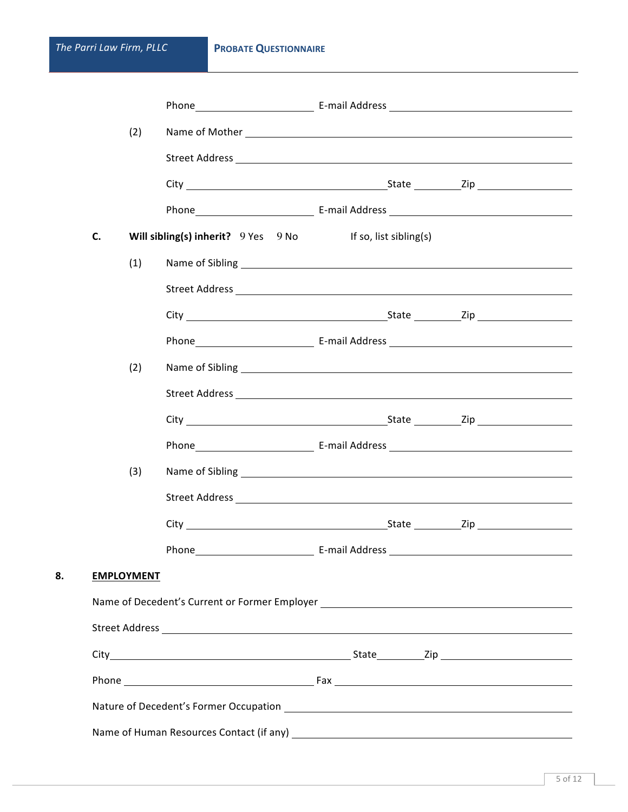|    |    | (2)               |                                                                                  |  |  |
|----|----|-------------------|----------------------------------------------------------------------------------|--|--|
|    |    |                   |                                                                                  |  |  |
|    |    |                   |                                                                                  |  |  |
|    |    |                   |                                                                                  |  |  |
|    | C. |                   | Will sibling(s) inherit? 9 Yes 9 No If so, list sibling(s)                       |  |  |
|    |    | (1)               |                                                                                  |  |  |
|    |    |                   |                                                                                  |  |  |
|    |    |                   |                                                                                  |  |  |
|    |    |                   |                                                                                  |  |  |
|    |    | (2)               |                                                                                  |  |  |
|    |    |                   |                                                                                  |  |  |
|    |    |                   |                                                                                  |  |  |
|    |    |                   |                                                                                  |  |  |
|    |    | (3)               |                                                                                  |  |  |
|    |    |                   |                                                                                  |  |  |
|    |    |                   |                                                                                  |  |  |
|    |    |                   |                                                                                  |  |  |
| 8. |    | <b>EMPLOYMENT</b> |                                                                                  |  |  |
|    |    |                   | Name of Decedent's Current or Former Employer __________________________________ |  |  |
|    |    |                   |                                                                                  |  |  |
|    |    |                   |                                                                                  |  |  |
|    |    |                   |                                                                                  |  |  |
|    |    |                   |                                                                                  |  |  |
|    |    |                   |                                                                                  |  |  |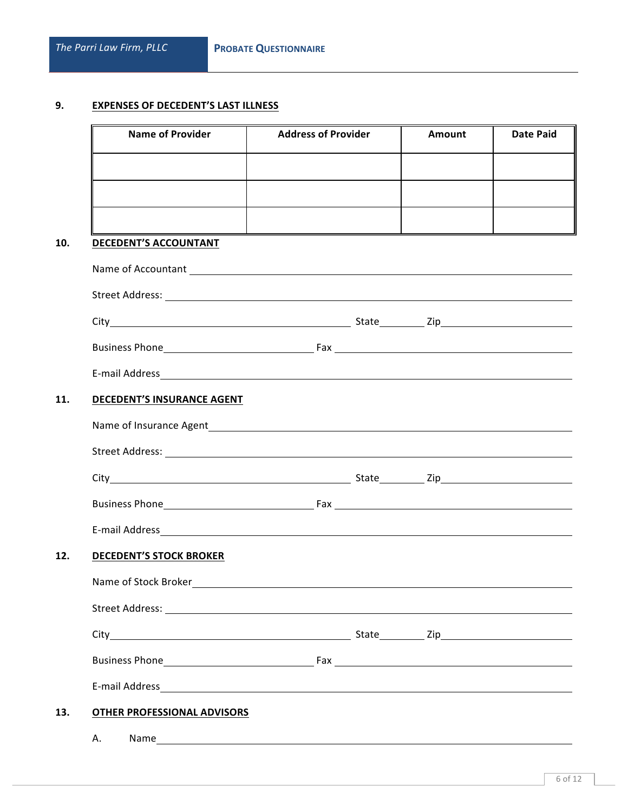# **9. EXPENSES OF DECEDENT'S LAST ILLNESS**

| <b>Name of Provider</b>                                                                                                                                                                                                             | <b>Address of Provider</b> | Amount | <b>Date Paid</b> |
|-------------------------------------------------------------------------------------------------------------------------------------------------------------------------------------------------------------------------------------|----------------------------|--------|------------------|
|                                                                                                                                                                                                                                     |                            |        |                  |
|                                                                                                                                                                                                                                     |                            |        |                  |
|                                                                                                                                                                                                                                     |                            |        |                  |
| DECEDENT'S ACCOUNTANT                                                                                                                                                                                                               |                            |        |                  |
|                                                                                                                                                                                                                                     |                            |        |                  |
|                                                                                                                                                                                                                                     |                            |        |                  |
|                                                                                                                                                                                                                                     |                            |        |                  |
|                                                                                                                                                                                                                                     |                            |        |                  |
|                                                                                                                                                                                                                                     |                            |        |                  |
| DECEDENT'S INSURANCE AGENT                                                                                                                                                                                                          |                            |        |                  |
|                                                                                                                                                                                                                                     |                            |        |                  |
| Street Address: <u>Alexander Street Address:</u> Alexander Street Address: Alexander Street Address: Alexander Street Address: Alexander Street Address: Alexander Street Address: Alexander Street Address: Alexander Street Addre |                            |        |                  |
|                                                                                                                                                                                                                                     |                            |        |                  |
|                                                                                                                                                                                                                                     |                            |        |                  |
|                                                                                                                                                                                                                                     |                            |        |                  |
| <b>DECEDENT'S STOCK BROKER</b>                                                                                                                                                                                                      |                            |        |                  |
| Name of Stock Broker                                                                                                                                                                                                                |                            |        |                  |
|                                                                                                                                                                                                                                     |                            |        |                  |
|                                                                                                                                                                                                                                     |                            |        |                  |
|                                                                                                                                                                                                                                     |                            |        |                  |
|                                                                                                                                                                                                                                     |                            |        |                  |
|                                                                                                                                                                                                                                     |                            |        |                  |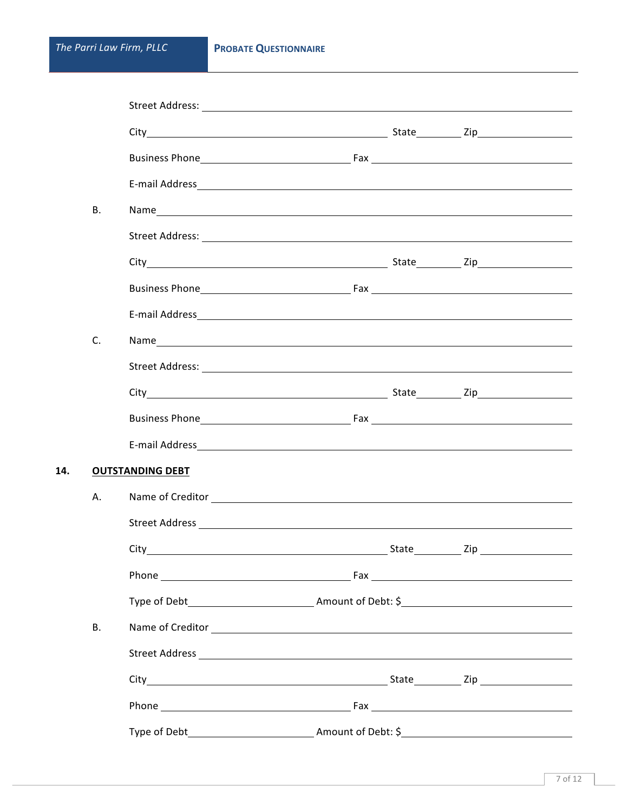**14.** 

| <b>B.</b>   |                         | Name                                                                                       |  |
|-------------|-------------------------|--------------------------------------------------------------------------------------------|--|
|             |                         |                                                                                            |  |
|             |                         |                                                                                            |  |
|             |                         |                                                                                            |  |
|             |                         |                                                                                            |  |
| $C_{\cdot}$ |                         |                                                                                            |  |
|             |                         |                                                                                            |  |
|             |                         |                                                                                            |  |
|             |                         |                                                                                            |  |
|             |                         |                                                                                            |  |
|             | <b>OUTSTANDING DEBT</b> |                                                                                            |  |
| А.          |                         |                                                                                            |  |
|             |                         |                                                                                            |  |
|             | $City$ <sub>—</sub>     | State________________ Zip __                                                               |  |
|             |                         |                                                                                            |  |
|             |                         |                                                                                            |  |
| <b>B.</b>   |                         | Name of Creditor <u>and Communications</u> and Communications are the contract of Creditor |  |
|             |                         |                                                                                            |  |
|             |                         |                                                                                            |  |
|             |                         |                                                                                            |  |
|             |                         |                                                                                            |  |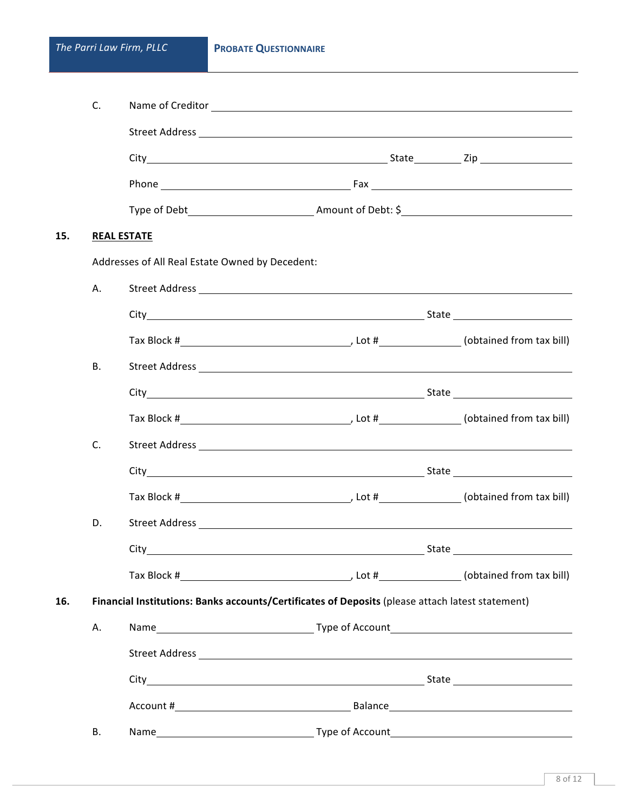|     | C. |                                                 |                                                                                                  |  |
|-----|----|-------------------------------------------------|--------------------------------------------------------------------------------------------------|--|
|     |    |                                                 |                                                                                                  |  |
|     |    |                                                 |                                                                                                  |  |
|     |    |                                                 |                                                                                                  |  |
|     |    |                                                 |                                                                                                  |  |
| 15. |    | <b>REAL ESTATE</b>                              |                                                                                                  |  |
|     |    | Addresses of All Real Estate Owned by Decedent: |                                                                                                  |  |
|     | Α. |                                                 |                                                                                                  |  |
|     |    |                                                 |                                                                                                  |  |
|     |    |                                                 |                                                                                                  |  |
|     | В. |                                                 |                                                                                                  |  |
|     |    |                                                 |                                                                                                  |  |
|     |    |                                                 |                                                                                                  |  |
|     | C. |                                                 |                                                                                                  |  |
|     |    |                                                 |                                                                                                  |  |
|     |    |                                                 |                                                                                                  |  |
|     | D. |                                                 |                                                                                                  |  |
|     |    |                                                 |                                                                                                  |  |
|     |    |                                                 |                                                                                                  |  |
| 16. |    |                                                 | Financial Institutions: Banks accounts/Certificates of Deposits (please attach latest statement) |  |
|     | А. |                                                 |                                                                                                  |  |
|     |    |                                                 |                                                                                                  |  |
|     |    |                                                 |                                                                                                  |  |
|     |    |                                                 |                                                                                                  |  |
|     | В. | Name                                            | Type of Account                                                                                  |  |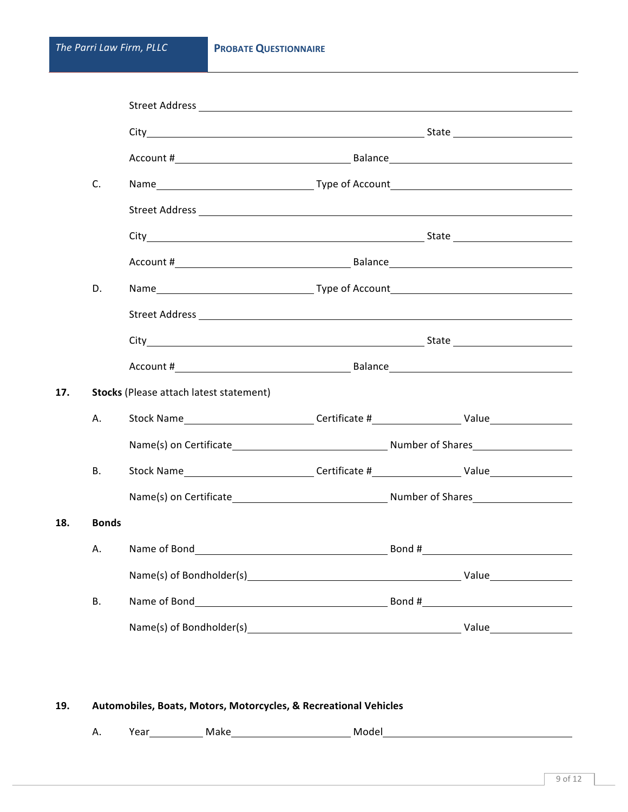**18. Bonds**

|     | C.           |                                                                                                                                                                                                                                      |       |  |
|-----|--------------|--------------------------------------------------------------------------------------------------------------------------------------------------------------------------------------------------------------------------------------|-------|--|
|     |              |                                                                                                                                                                                                                                      |       |  |
|     |              |                                                                                                                                                                                                                                      |       |  |
|     |              |                                                                                                                                                                                                                                      |       |  |
|     | D.           |                                                                                                                                                                                                                                      |       |  |
|     |              |                                                                                                                                                                                                                                      |       |  |
|     |              |                                                                                                                                                                                                                                      |       |  |
|     |              |                                                                                                                                                                                                                                      |       |  |
| 17. |              | <b>Stocks</b> (Please attach latest statement)                                                                                                                                                                                       |       |  |
|     | А.           |                                                                                                                                                                                                                                      |       |  |
|     |              | Name(s) on Certificate <b>Mateur Controllering Controllering Controllering Controllering Controllering Controllering Controllering Controllering Controllering Controllering Controllering Controllering Controllering Controlle</b> |       |  |
|     | В.           |                                                                                                                                                                                                                                      |       |  |
|     |              |                                                                                                                                                                                                                                      |       |  |
| 18. | <b>Bonds</b> |                                                                                                                                                                                                                                      |       |  |
|     |              | A. Name of Bond                                                                                                                                                                                                                      | Bond# |  |
|     |              |                                                                                                                                                                                                                                      |       |  |
|     | <b>B.</b>    |                                                                                                                                                                                                                                      |       |  |
|     |              |                                                                                                                                                                                                                                      |       |  |
|     |              |                                                                                                                                                                                                                                      |       |  |

### 19. **Automobiles, Boats, Motors, Motorcycles, & Recreational Vehicles**

A. Year Make Make Model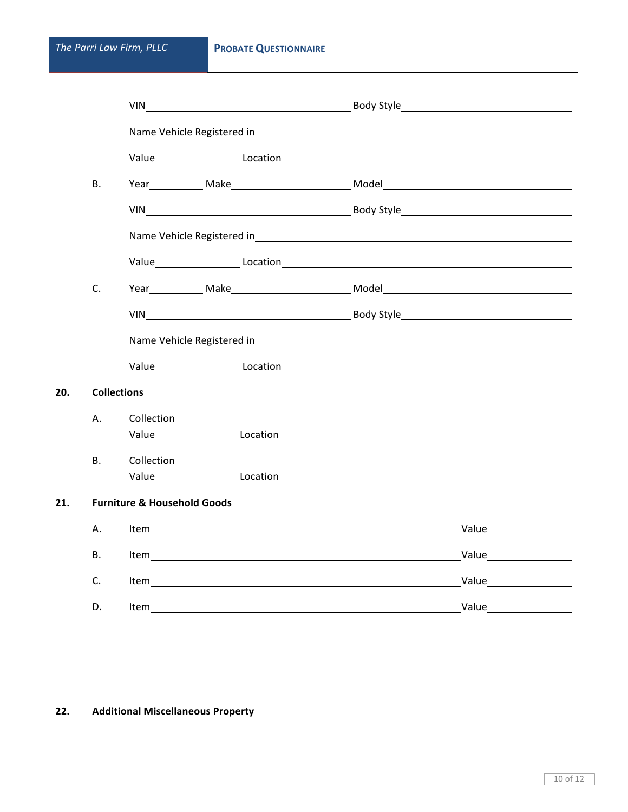**20.** 

|     |                    |                                        | VIN Body Style Reserves the Body Style State of the State of the Body Style State of the State of the State of T                                                                                                                   |
|-----|--------------------|----------------------------------------|------------------------------------------------------------------------------------------------------------------------------------------------------------------------------------------------------------------------------------|
|     |                    |                                        |                                                                                                                                                                                                                                    |
|     |                    |                                        |                                                                                                                                                                                                                                    |
|     | <b>B.</b>          |                                        | Year Make Make Model Model                                                                                                                                                                                                         |
|     |                    |                                        |                                                                                                                                                                                                                                    |
|     |                    |                                        | Name Vehicle Registered in Samuel Communication and Communication and Communication and Communication and Communication and Communication and Communication and Communication and Communication and Communication and Communic     |
|     |                    |                                        |                                                                                                                                                                                                                                    |
|     | C.                 |                                        | Year Make Make Model Model Model Number of the Model Allen Model Allen Model Allen Model Allen Model Allen Model Allen Model Allen Model Allen Model Allen Model Allen Model Allen Model Allen Model Allen Model Allen Model A     |
|     |                    |                                        |                                                                                                                                                                                                                                    |
|     |                    |                                        |                                                                                                                                                                                                                                    |
|     |                    |                                        |                                                                                                                                                                                                                                    |
| 20. | <b>Collections</b> |                                        |                                                                                                                                                                                                                                    |
|     | А.                 |                                        | Collection <b>Collection</b>                                                                                                                                                                                                       |
|     |                    |                                        | Value Location Location Location Location Location Location Location Location Location Location Location Location                                                                                                                  |
|     | <b>B.</b>          |                                        | Collection <b>Collection</b>                                                                                                                                                                                                       |
|     |                    |                                        |                                                                                                                                                                                                                                    |
| 21. |                    | <b>Furniture &amp; Household Goods</b> |                                                                                                                                                                                                                                    |
|     | А.                 |                                        | Value <b>William Strategie Strategie Production</b>                                                                                                                                                                                |
|     | В.                 |                                        | Value _______________                                                                                                                                                                                                              |
|     | C.                 |                                        | <b>Value Contract Contract Contract Contract Contract Contract Contract Contract Contract Contract Contract Contract Contract Contract Contract Contract Contract Contract Contract Contract Contract Contract Contract Contra</b> |
|     | D.                 |                                        |                                                                                                                                                                                                                                    |
|     |                    |                                        |                                                                                                                                                                                                                                    |

# **22. Additional Miscellaneous Property**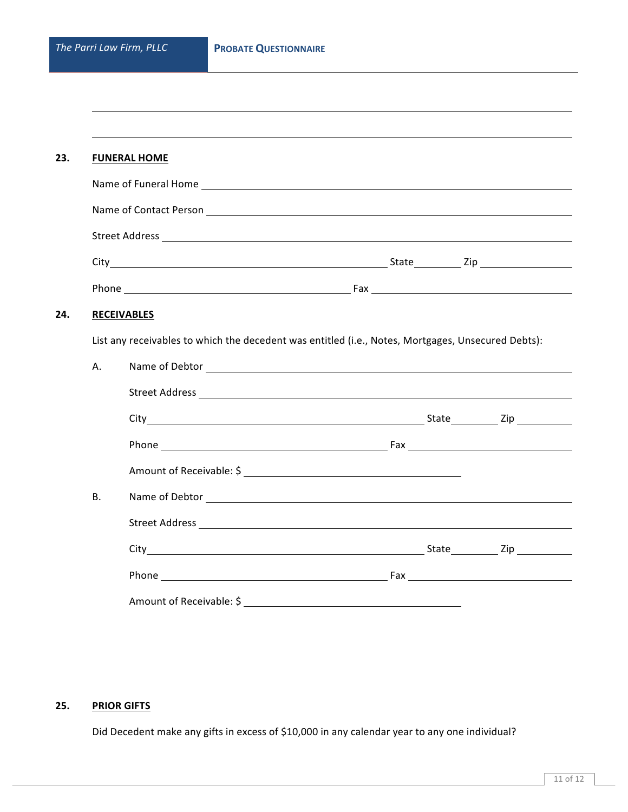|           | <b>FUNERAL HOME</b> |                                                                                                    |  |
|-----------|---------------------|----------------------------------------------------------------------------------------------------|--|
|           |                     |                                                                                                    |  |
|           |                     |                                                                                                    |  |
|           |                     |                                                                                                    |  |
|           |                     |                                                                                                    |  |
|           |                     |                                                                                                    |  |
|           | <b>RECEIVABLES</b>  |                                                                                                    |  |
|           |                     |                                                                                                    |  |
|           |                     | List any receivables to which the decedent was entitled (i.e., Notes, Mortgages, Unsecured Debts): |  |
|           |                     |                                                                                                    |  |
|           |                     |                                                                                                    |  |
|           |                     |                                                                                                    |  |
|           |                     |                                                                                                    |  |
| А.        |                     | Amount of Receivable: \$                                                                           |  |
| <b>B.</b> |                     |                                                                                                    |  |
|           |                     |                                                                                                    |  |
|           |                     |                                                                                                    |  |

### **25. PRIOR GIFTS**

Did Decedent make any gifts in excess of \$10,000 in any calendar year to any one individual?